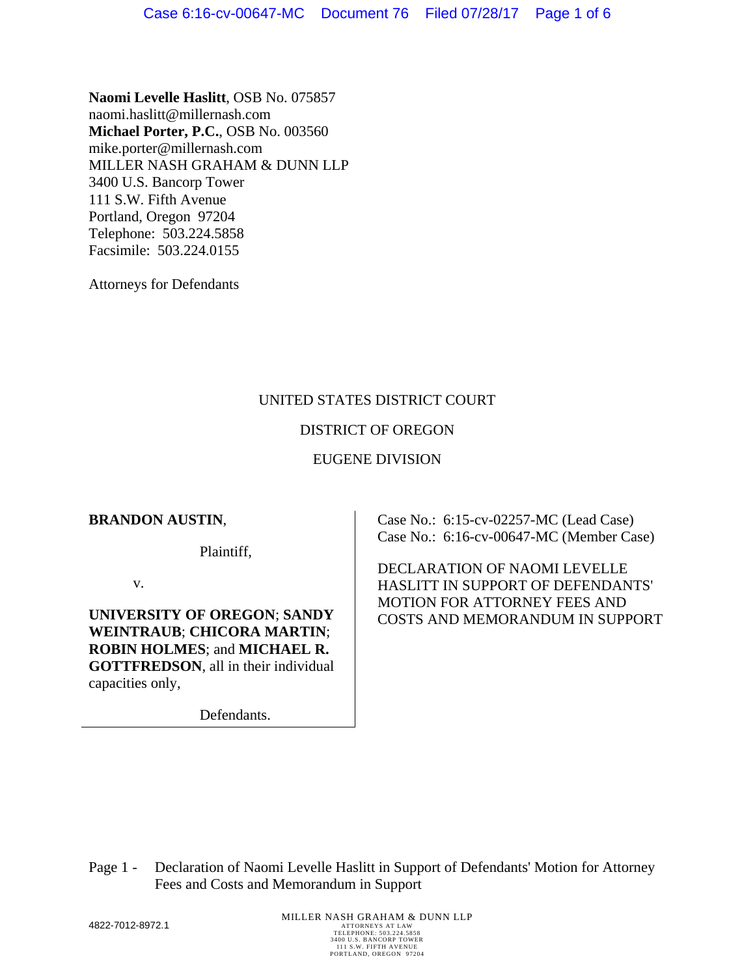**Naomi Levelle Haslitt**, OSB No. 075857 naomi.haslitt@millernash.com **Michael Porter, P.C.**, OSB No. 003560 mike.porter@millernash.com MILLER NASH GRAHAM & DUNN LLP 3400 U.S. Bancorp Tower 111 S.W. Fifth Avenue Portland, Oregon 97204 Telephone: 503.224.5858 Facsimile: 503.224.0155

Attorneys for Defendants

# UNITED STATES DISTRICT COURT

### DISTRICT OF OREGON

### EUGENE DIVISION

### **BRANDON AUSTIN**,

Plaintiff,

v.

**UNIVERSITY OF OREGON**; **SANDY WEINTRAUB**; **CHICORA MARTIN**; **ROBIN HOLMES**; and **MICHAEL R. GOTTFREDSON**, all in their individual capacities only,

Defendants.

Case No.: 6:15-cv-02257-MC (Lead Case) Case No.: 6:16-cv-00647-MC (Member Case)

DECLARATION OF NAOMI LEVELLE HASLITT IN SUPPORT OF DEFENDANTS' MOTION FOR ATTORNEY FEES AND COSTS AND MEMORANDUM IN SUPPORT

Page 1 - Declaration of Naomi Levelle Haslitt in Support of Defendants' Motion for Attorney Fees and Costs and Memorandum in Support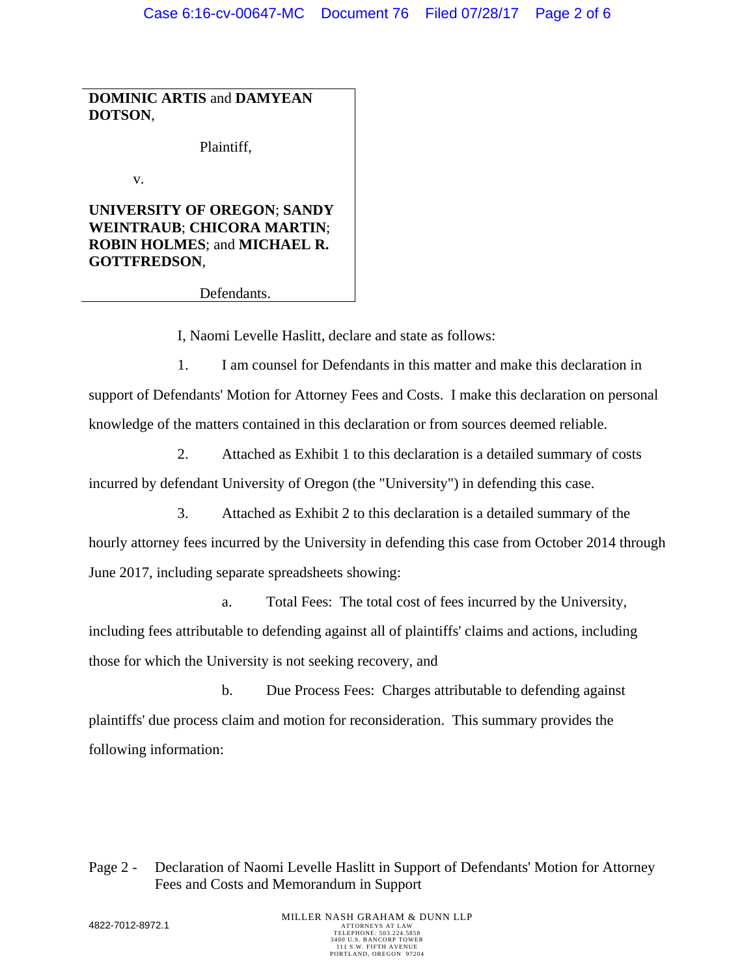**DOMINIC ARTIS** and **DAMYEAN DOTSON**,

Plaintiff,

v.

**UNIVERSITY OF OREGON**; **SANDY WEINTRAUB**; **CHICORA MARTIN**; **ROBIN HOLMES**; and **MICHAEL R. GOTTFREDSON**,

Defendants.

I, Naomi Levelle Haslitt, declare and state as follows:

1. I am counsel for Defendants in this matter and make this declaration in support of Defendants' Motion for Attorney Fees and Costs. I make this declaration on personal knowledge of the matters contained in this declaration or from sources deemed reliable.

2. Attached as Exhibit 1 to this declaration is a detailed summary of costs incurred by defendant University of Oregon (the "University") in defending this case.

3. Attached as Exhibit 2 to this declaration is a detailed summary of the hourly attorney fees incurred by the University in defending this case from October 2014 through June 2017, including separate spreadsheets showing:

a. Total Fees: The total cost of fees incurred by the University, including fees attributable to defending against all of plaintiffs' claims and actions, including those for which the University is not seeking recovery, and

b. Due Process Fees: Charges attributable to defending against plaintiffs' due process claim and motion for reconsideration. This summary provides the following information:

# Page 2 - Declaration of Naomi Levelle Haslitt in Support of Defendants' Motion for Attorney Fees and Costs and Memorandum in Support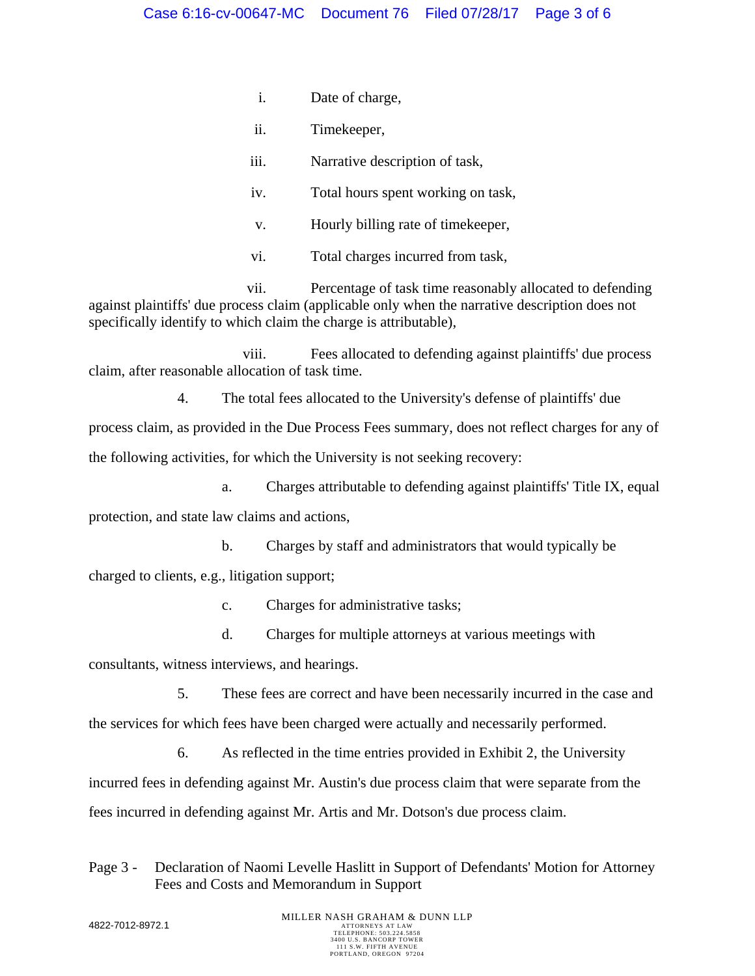- i. Date of charge,
- ii. Timekeeper,
- iii. Narrative description of task,
- iv. Total hours spent working on task,
- v. Hourly billing rate of timekeeper,
- vi. Total charges incurred from task,

vii. Percentage of task time reasonably allocated to defending against plaintiffs' due process claim (applicable only when the narrative description does not specifically identify to which claim the charge is attributable),

viii. Fees allocated to defending against plaintiffs' due process claim, after reasonable allocation of task time.

4. The total fees allocated to the University's defense of plaintiffs' due

process claim, as provided in the Due Process Fees summary, does not reflect charges for any of the following activities, for which the University is not seeking recovery:

a. Charges attributable to defending against plaintiffs' Title IX, equal protection, and state law claims and actions,

b. Charges by staff and administrators that would typically be

charged to clients, e.g., litigation support;

c. Charges for administrative tasks;

d. Charges for multiple attorneys at various meetings with

consultants, witness interviews, and hearings.

5. These fees are correct and have been necessarily incurred in the case and

the services for which fees have been charged were actually and necessarily performed.

6. As reflected in the time entries provided in Exhibit 2, the University incurred fees in defending against Mr. Austin's due process claim that were separate from the fees incurred in defending against Mr. Artis and Mr. Dotson's due process claim.

### Page 3 - Declaration of Naomi Levelle Haslitt in Support of Defendants' Motion for Attorney Fees and Costs and Memorandum in Support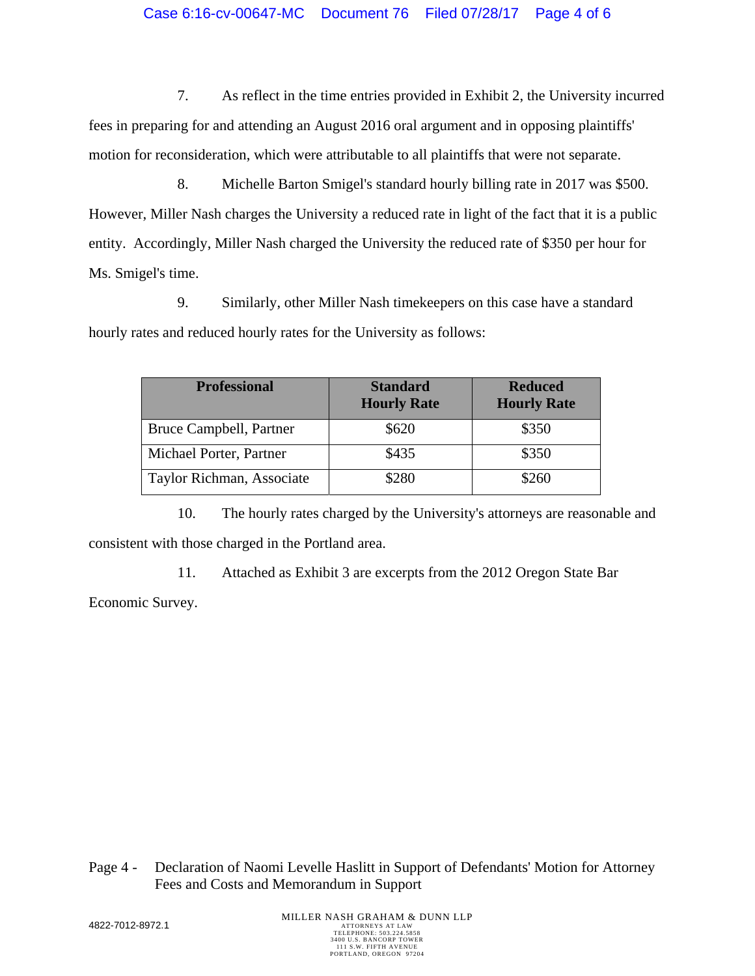7. As reflect in the time entries provided in Exhibit 2, the University incurred fees in preparing for and attending an August 2016 oral argument and in opposing plaintiffs' motion for reconsideration, which were attributable to all plaintiffs that were not separate.

8. Michelle Barton Smigel's standard hourly billing rate in 2017 was \$500. However, Miller Nash charges the University a reduced rate in light of the fact that it is a public entity. Accordingly, Miller Nash charged the University the reduced rate of \$350 per hour for Ms. Smigel's time.

9. Similarly, other Miller Nash timekeepers on this case have a standard hourly rates and reduced hourly rates for the University as follows:

| <b>Professional</b>       | <b>Standard</b><br><b>Hourly Rate</b> | <b>Reduced</b><br><b>Hourly Rate</b> |
|---------------------------|---------------------------------------|--------------------------------------|
| Bruce Campbell, Partner   | \$620                                 | \$350                                |
| Michael Porter, Partner   | \$435                                 | \$350                                |
| Taylor Richman, Associate | \$280                                 | \$260                                |

10. The hourly rates charged by the University's attorneys are reasonable and consistent with those charged in the Portland area.

11. Attached as Exhibit 3 are excerpts from the 2012 Oregon State Bar Economic Survey.

Page 4 - Declaration of Naomi Levelle Haslitt in Support of Defendants' Motion for Attorney Fees and Costs and Memorandum in Support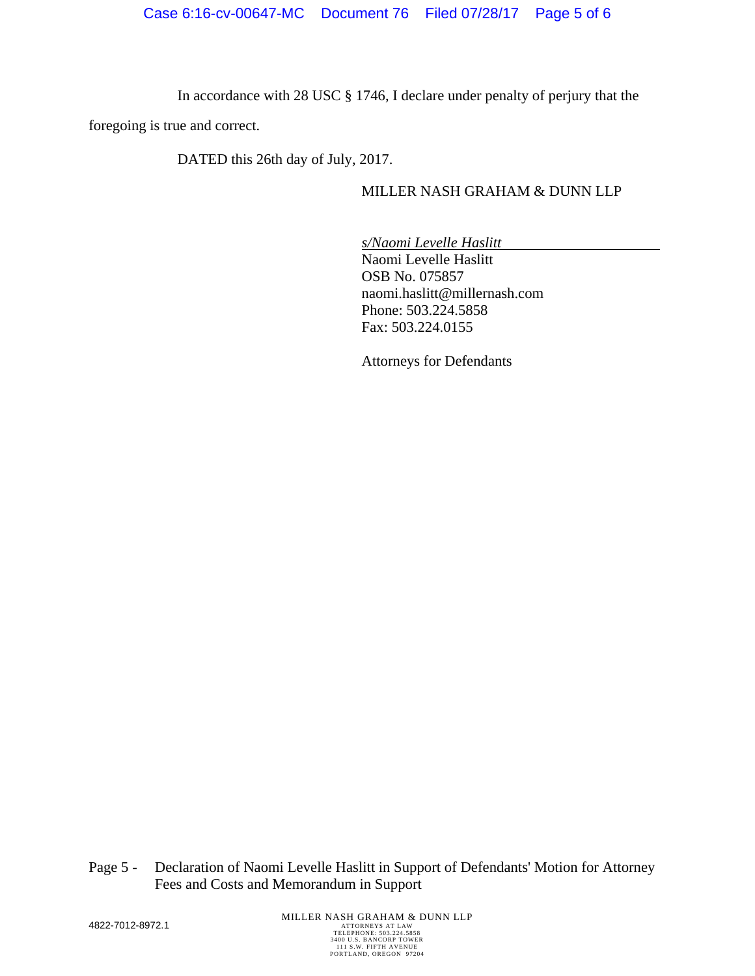In accordance with 28 USC § 1746, I declare under penalty of perjury that the

foregoing is true and correct.

DATED this 26th day of July, 2017.

### MILLER NASH GRAHAM & DUNN LLP

*s/Naomi Levelle Haslitt* Naomi Levelle Haslitt OSB No. 075857 naomi.haslitt@millernash.com Phone: 503.224.5858 Fax: 503.224.0155

Attorneys for Defendants

Page 5 - Declaration of Naomi Levelle Haslitt in Support of Defendants' Motion for Attorney Fees and Costs and Memorandum in Support